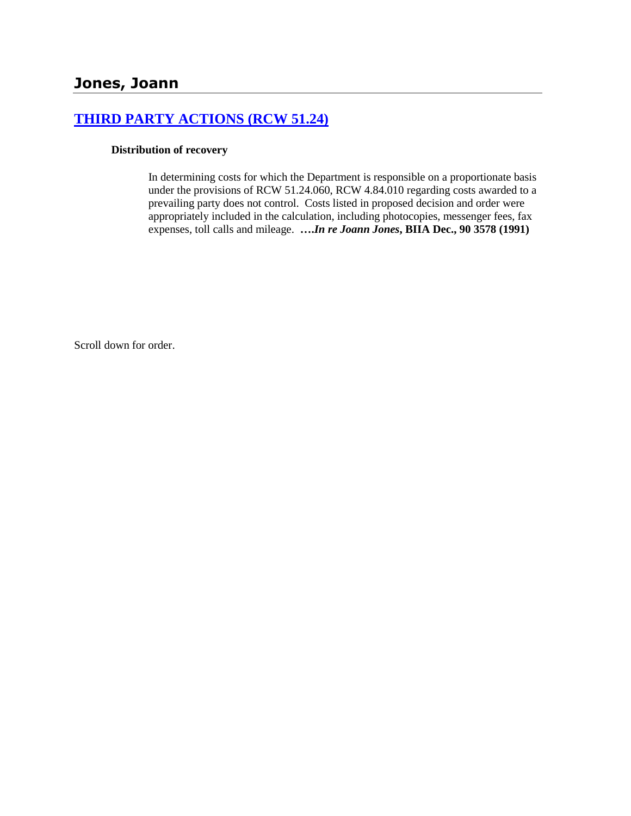# **[THIRD PARTY ACTIONS \(RCW 51.24\)](http://www.biia.wa.gov/SDSubjectIndex.html#THIRD_PARTY_ACTIONS)**

#### **Distribution of recovery**

In determining costs for which the Department is responsible on a proportionate basis under the provisions of RCW 51.24.060, RCW 4.84.010 regarding costs awarded to a prevailing party does not control. Costs listed in proposed decision and order were appropriately included in the calculation, including photocopies, messenger fees, fax expenses, toll calls and mileage. **….***In re Joann Jones***, BIIA Dec., 90 3578 (1991)**

Scroll down for order.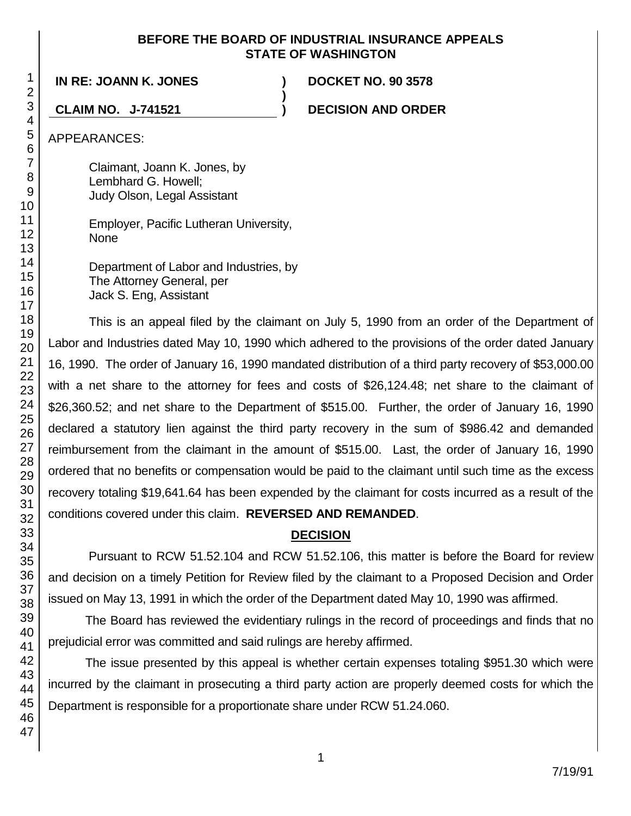## **BEFORE THE BOARD OF INDUSTRIAL INSURANCE APPEALS STATE OF WASHINGTON**

**)**

**IN RE: JOANN K. JONES ) DOCKET NO. 90 3578**

**CLAIM NO. J-741521 ) DECISION AND ORDER**

APPEARANCES:

Claimant, Joann K. Jones, by Lembhard G. Howell; Judy Olson, Legal Assistant

Employer, Pacific Lutheran University, None

Department of Labor and Industries, by The Attorney General, per Jack S. Eng, Assistant

This is an appeal filed by the claimant on July 5, 1990 from an order of the Department of Labor and Industries dated May 10, 1990 which adhered to the provisions of the order dated January 16, 1990. The order of January 16, 1990 mandated distribution of a third party recovery of \$53,000.00 with a net share to the attorney for fees and costs of \$26,124.48; net share to the claimant of \$26,360.52; and net share to the Department of \$515.00. Further, the order of January 16, 1990 declared a statutory lien against the third party recovery in the sum of \$986.42 and demanded reimbursement from the claimant in the amount of \$515.00. Last, the order of January 16, 1990 ordered that no benefits or compensation would be paid to the claimant until such time as the excess recovery totaling \$19,641.64 has been expended by the claimant for costs incurred as a result of the conditions covered under this claim. **REVERSED AND REMANDED**.

# **DECISION**

Pursuant to RCW 51.52.104 and RCW 51.52.106, this matter is before the Board for review and decision on a timely Petition for Review filed by the claimant to a Proposed Decision and Order issued on May 13, 1991 in which the order of the Department dated May 10, 1990 was affirmed.

The Board has reviewed the evidentiary rulings in the record of proceedings and finds that no prejudicial error was committed and said rulings are hereby affirmed.

The issue presented by this appeal is whether certain expenses totaling \$951.30 which were incurred by the claimant in prosecuting a third party action are properly deemed costs for which the Department is responsible for a proportionate share under RCW 51.24.060.

1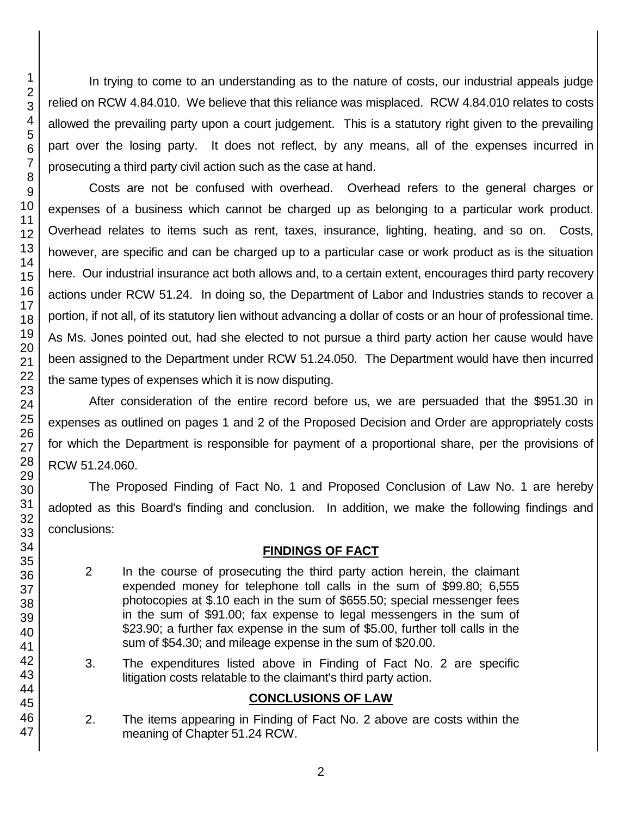In trying to come to an understanding as to the nature of costs, our industrial appeals judge relied on RCW 4.84.010. We believe that this reliance was misplaced. RCW 4.84.010 relates to costs allowed the prevailing party upon a court judgement. This is a statutory right given to the prevailing part over the losing party. It does not reflect, by any means, all of the expenses incurred in prosecuting a third party civil action such as the case at hand.

Costs are not be confused with overhead. Overhead refers to the general charges or expenses of a business which cannot be charged up as belonging to a particular work product. Overhead relates to items such as rent, taxes, insurance, lighting, heating, and so on. Costs, however, are specific and can be charged up to a particular case or work product as is the situation here. Our industrial insurance act both allows and, to a certain extent, encourages third party recovery actions under RCW 51.24. In doing so, the Department of Labor and Industries stands to recover a portion, if not all, of its statutory lien without advancing a dollar of costs or an hour of professional time. As Ms. Jones pointed out, had she elected to not pursue a third party action her cause would have been assigned to the Department under RCW 51.24.050. The Department would have then incurred the same types of expenses which it is now disputing.

After consideration of the entire record before us, we are persuaded that the \$951.30 in expenses as outlined on pages 1 and 2 of the Proposed Decision and Order are appropriately costs for which the Department is responsible for payment of a proportional share, per the provisions of RCW 51.24.060.

The Proposed Finding of Fact No. 1 and Proposed Conclusion of Law No. 1 are hereby adopted as this Board's finding and conclusion. In addition, we make the following findings and conclusions:

# **FINDINGS OF FACT**

- 2 In the course of prosecuting the third party action herein, the claimant expended money for telephone toll calls in the sum of \$99.80; 6,555 photocopies at \$.10 each in the sum of \$655.50; special messenger fees in the sum of \$91.00; fax expense to legal messengers in the sum of \$23.90; a further fax expense in the sum of \$5.00, further toll calls in the sum of \$54.30; and mileage expense in the sum of \$20.00.
- 3. The expenditures listed above in Finding of Fact No. 2 are specific litigation costs relatable to the claimant's third party action.

# **CONCLUSIONS OF LAW**

2. The items appearing in Finding of Fact No. 2 above are costs within the meaning of Chapter 51.24 RCW.